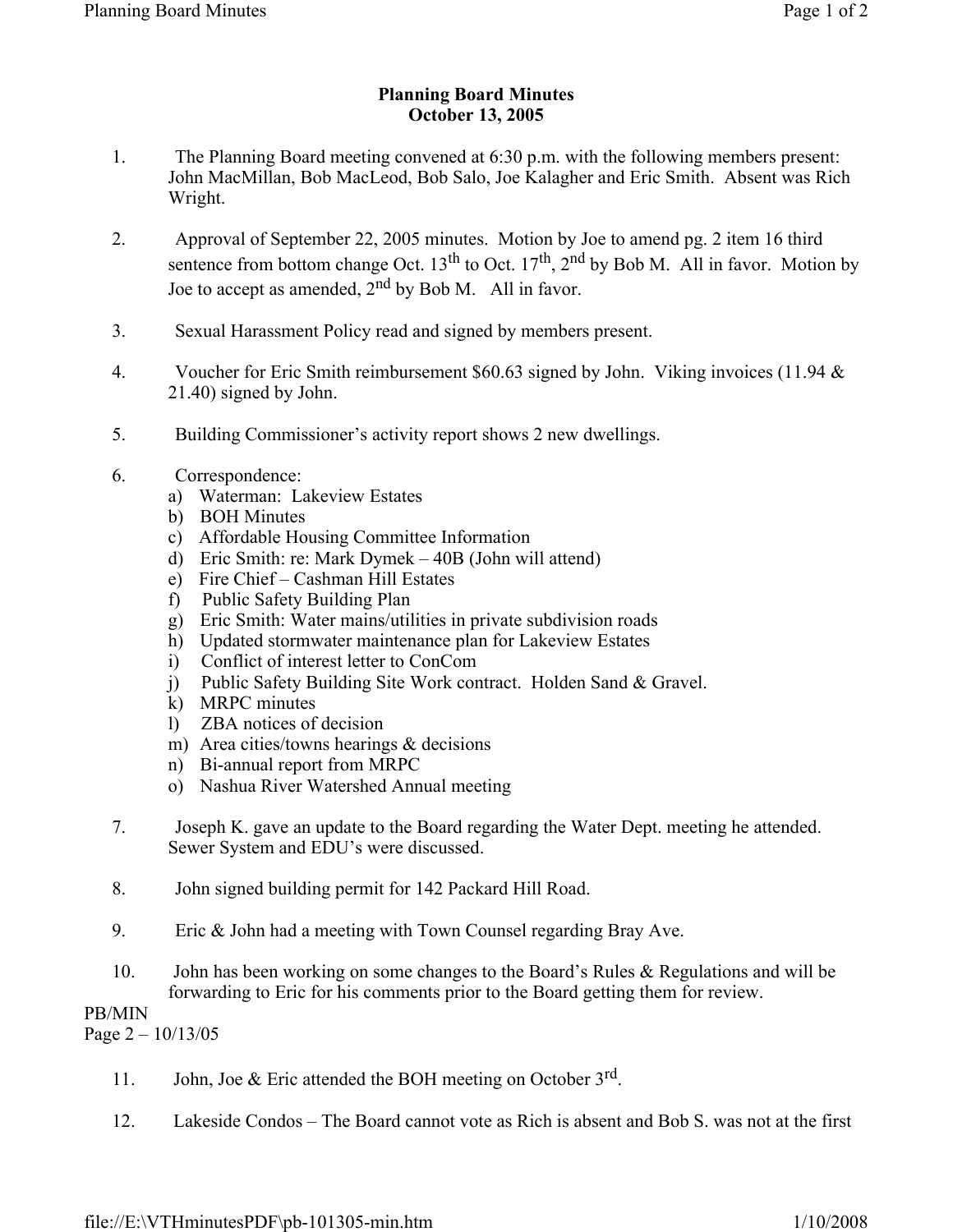## **Planning Board Minutes October 13, 2005**

- 1. The Planning Board meeting convened at 6:30 p.m. with the following members present: John MacMillan, Bob MacLeod, Bob Salo, Joe Kalagher and Eric Smith. Absent was Rich Wright.
- 2. Approval of September 22, 2005 minutes. Motion by Joe to amend pg. 2 item 16 third sentence from bottom change Oct.  $13^{th}$  to Oct.  $17^{th}$ ,  $2^{nd}$  by Bob M. All in favor. Motion by Joe to accept as amended,  $2^{nd}$  by Bob M. All in favor.
- 3. Sexual Harassment Policy read and signed by members present.
- 4. Voucher for Eric Smith reimbursement \$60.63 signed by John. Viking invoices (11.94 & 21.40) signed by John.
- 5. Building Commissioner's activity report shows 2 new dwellings.
- 6. Correspondence:
	- a) Waterman: Lakeview Estates
	- b) BOH Minutes
	- c) Affordable Housing Committee Information
	- d) Eric Smith: re: Mark Dymek 40B (John will attend)
	- e) Fire Chief Cashman Hill Estates
	- f) Public Safety Building Plan
	- g) Eric Smith: Water mains/utilities in private subdivision roads
	- h) Updated stormwater maintenance plan for Lakeview Estates
	- i) Conflict of interest letter to ConCom
	- j) Public Safety Building Site Work contract. Holden Sand & Gravel.
	- k) MRPC minutes
	- l) ZBA notices of decision
	- m) Area cities/towns hearings & decisions
	- n) Bi-annual report from MRPC
	- o) Nashua River Watershed Annual meeting
- 7. Joseph K. gave an update to the Board regarding the Water Dept. meeting he attended. Sewer System and EDU's were discussed.
- 8. John signed building permit for 142 Packard Hill Road.
- 9. Eric & John had a meeting with Town Counsel regarding Bray Ave.
- 10. John has been working on some changes to the Board's Rules & Regulations and will be forwarding to Eric for his comments prior to the Board getting them for review.

## PB/MIN

Page  $2 - 10/13/05$ 

- 11. John, Joe & Eric attended the BOH meeting on October  $3^{rd}$ .
- 12. Lakeside Condos The Board cannot vote as Rich is absent and Bob S. was not at the first